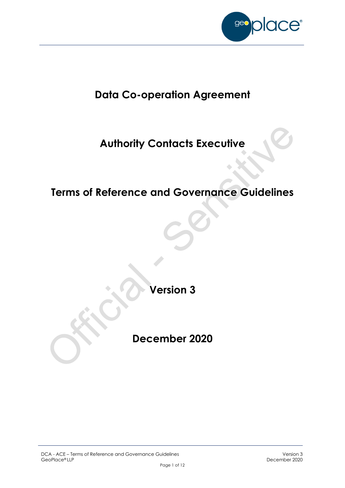

## **Data Co-operation Agreement**

# **Authority Contacts Executive**

## **Terms of Reference and Governance Guidelines**

**Version 3**

**December 2020**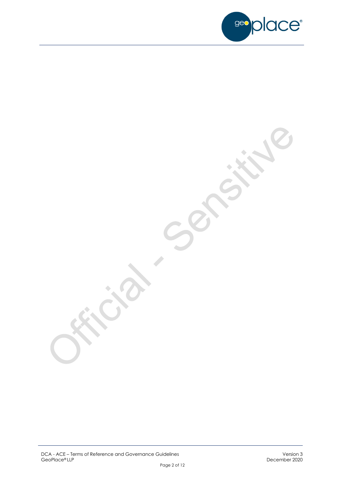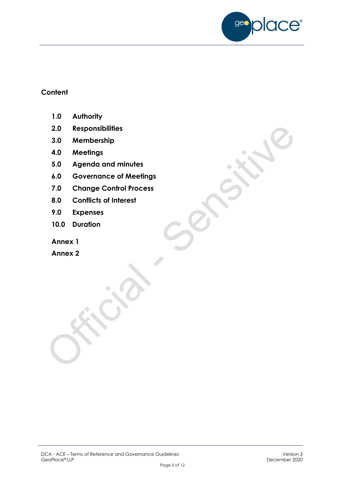

### **Content**

- **1.0 Authority**
- **2.0 Responsibilities**
- **3.0 Membership**
- **4.0 Meetings**
- **5.0 Agenda and minutes**
- **6.0 Governance of Meetings**
- **7.0 Change Control Process**
- **8.0 Conflicts of Interest**
- **9.0 Expenses**
- **10.0 Duration**
- **Annex 1**

**Annex 2**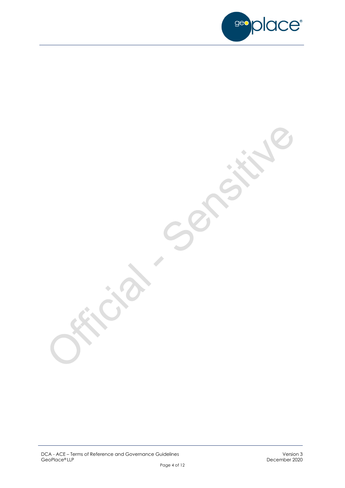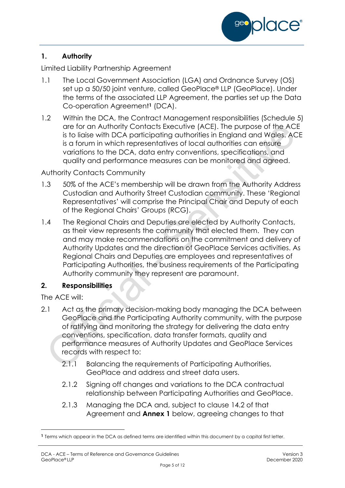

## **1. Authority**

Limited Liability Partnership Agreement

- 1.1 The Local Government Association (LGA) and Ordnance Survey (OS) set up a 50/50 joint venture, called GeoPlace® LLP (GeoPlace). Under the terms of the associated LLP Agreement, the parties set up the Data Co-operation Agreement**<sup>1</sup>** (DCA).
- 1.2 Within the DCA, the Contract Management responsibilities (Schedule 5) are for an Authority Contacts Executive (ACE). The purpose of the ACE is to liaise with DCA participating authorities in England and Wales. ACE is a forum in which representatives of local authorities can ensure variations to the DCA, data entry conventions, specifications, and quality and performance measures can be monitored and agreed.

### Authority Contacts Community

- 1.3 50% of the ACE's membership will be drawn from the Authority Address Custodian and Authority Street Custodian community. These 'Regional Representatives' will comprise the Principal Chair and Deputy of each of the Regional Chairs' Groups (RCG).
- 1.4 The Regional Chairs and Deputies are elected by Authority Contacts, as their view represents the community that elected them. They can and may make recommendations on the commitment and delivery of Authority Updates and the direction of GeoPlace Services activities. As Regional Chairs and Deputies are employees and representatives of Participating Authorities, the business requirements of the Participating Authority community they represent are paramount.

### **2. Responsibilities**

The ACE will:

- 2.1 Act as the primary decision-making body managing the DCA between GeoPlace and the Participating Authority community, with the purpose of ratifying and monitoring the strategy for delivering the data entry conventions, specification, data transfer formats, quality and performance measures of Authority Updates and GeoPlace Services records with respect to:
	- 2.1.1 Balancing the requirements of Participating Authorities, GeoPlace and address and street data users.
	- 2.1.2 Signing off changes and variations to the DCA contractual relationship between Participating Authorities and GeoPlace.
	- 2.1.3 Managing the DCA and, subject to clause 14.2 of that Agreement and **Annex 1** below, agreeing changes to that

**<sup>1</sup>** Terms which appear in the DCA as defined terms are identified within this document by a capital first letter.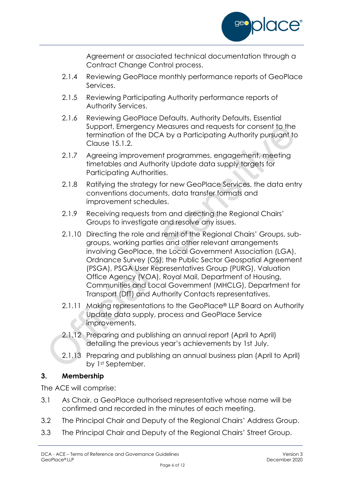

Agreement or associated technical documentation through a Contract Change Control process.

- 2.1.4 Reviewing GeoPlace monthly performance reports of GeoPlace Services.
- 2.1.5 Reviewing Participating Authority performance reports of Authority Services.
- 2.1.6 Reviewing GeoPlace Defaults, Authority Defaults, Essential Support, Emergency Measures and requests for consent to the termination of the DCA by a Participating Authority pursuant to Clause 15.1.2.
- 2.1.7 Agreeing improvement programmes, engagement, meeting timetables and Authority Update data supply targets for Participating Authorities.
- 2.1.8 Ratifying the strategy for new GeoPlace Services, the data entry conventions documents, data transfer formats and improvement schedules.
- 2.1.9 Receiving requests from and directing the Regional Chairs' Groups to investigate and resolve any issues.
- 2.1.10 Directing the role and remit of the Regional Chairs' Groups, subgroups, working parties and other relevant arrangements involving GeoPlace, the Local Government Association (LGA), Ordnance Survey (OS), the Public Sector Geospatial Agreement (PSGA), PSGA User Representatives Group (PURG), Valuation Office Agency (VOA), Royal Mail, Department of Housing, Communities and Local Government (MHCLG), Department for Transport (DfT) and Authority Contacts representatives.
- 2.1.11 Making representations to the GeoPlace® LLP Board on Authority Update data supply, process and GeoPlace Service improvements.
- 2.1.12 Preparing and publishing an annual report (April to April) detailing the previous year's achievements by 1st July.
- 2.1.13 Preparing and publishing an annual business plan (April to April) by 1<sup>st</sup> September.

## **3. Membership**

The ACE will comprise:

- 3.1 As Chair, a GeoPlace authorised representative whose name will be confirmed and recorded in the minutes of each meeting.
- 3.2 The Principal Chair and Deputy of the Regional Chairs' Address Group.
- 3.3 The Principal Chair and Deputy of the Regional Chairs' Street Group.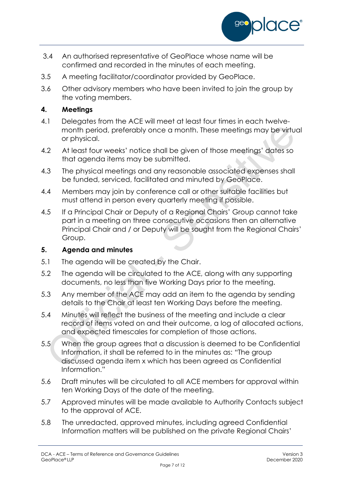

- 3.4 An authorised representative of GeoPlace whose name will be confirmed and recorded in the minutes of each meeting.
- 3.5 A meeting facilitator/coordinator provided by GeoPlace.
- 3.6 Other advisory members who have been invited to join the group by the voting members.

## **4. Meetings**

- 4.1 Delegates from the ACE will meet at least four times in each twelvemonth period, preferably once a month. These meetings may be virtual or physical.
- 4.2 At least four weeks' notice shall be given of those meetings' dates so that agenda items may be submitted.
- 4.3 The physical meetings and any reasonable associated expenses shall be funded, serviced, facilitated and minuted by GeoPlace.
- 4.4 Members may join by conference call or other suitable facilities but must attend in person every quarterly meeting if possible.
- 4.5 If a Principal Chair or Deputy of a Regional Chairs' Group cannot take part in a meeting on three consecutive occasions then an alternative Principal Chair and / or Deputy will be sought from the Regional Chairs' Group.

### **5. Agenda and minutes**

- 5.1 The agenda will be created by the Chair.
- 5.2 The agenda will be circulated to the ACE, along with any supporting documents, no less than five Working Days prior to the meeting.
- 5.3 Any member of the ACE may add an item to the agenda by sending details to the Chair at least ten Working Days before the meeting.
- 5.4 Minutes will reflect the business of the meeting and include a clear record of items voted on and their outcome, a log of allocated actions, and expected timescales for completion of those actions.
- 5.5 When the group agrees that a discussion is deemed to be Confidential Information, it shall be referred to in the minutes as: "The group discussed agenda item x which has been agreed as Confidential Information."
- 5.6 Draft minutes will be circulated to all ACE members for approval within ten Working Days of the date of the meeting.
- 5.7 Approved minutes will be made available to Authority Contacts subject to the approval of ACE.
- 5.8 The unredacted, approved minutes, including agreed Confidential Information matters will be published on the private Regional Chairs'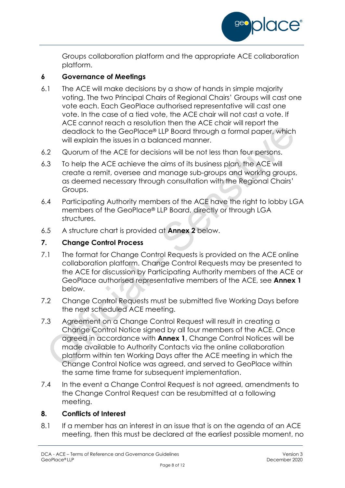

Groups collaboration platform and the appropriate ACE collaboration platform.

## **6 Governance of Meetings**

- 6.1 The ACE will make decisions by a show of hands in simple majority voting. The two Principal Chairs of Regional Chairs' Groups will cast one vote each. Each GeoPlace authorised representative will cast one vote. In the case of a tied vote, the ACE chair will not cast a vote. If ACE cannot reach a resolution then the ACE chair will report the deadlock to the GeoPlace® LLP Board through a formal paper, which will explain the issues in a balanced manner.
- 6.2 Quorum of the ACE for decisions will be not less than four persons.
- 6.3 To help the ACE achieve the aims of its business plan, the ACE will create a remit, oversee and manage sub-groups and working groups, as deemed necessary through consultation with the Regional Chairs' Groups.
- 6.4 Participating Authority members of the ACE have the right to lobby LGA members of the GeoPlace® LLP Board, directly or through LGA structures.
- 6.5 A structure chart is provided at **Annex 2** below.

## **7. Change Control Process**

- 7.1 The format for Change Control Requests is provided on the ACE online collaboration platform. Change Control Requests may be presented to the ACE for discussion by Participating Authority members of the ACE or GeoPlace authorised representative members of the ACE, see **Annex 1** below.
- 7.2 Change Control Requests must be submitted five Working Days before the next scheduled ACE meeting.
- 7.3 Agreement on a Change Control Request will result in creating a Change Control Notice signed by all four members of the ACE. Once agreed in accordance with **Annex 1**, Change Control Notices will be made available to Authority Contacts via the online collaboration platform within ten Working Days after the ACE meeting in which the Change Control Notice was agreed, and served to GeoPlace within the same time frame for subsequent implementation.
- 7.4 In the event a Change Control Request is not agreed, amendments to the Change Control Request can be resubmitted at a following meeting.

### **8. Conflicts of Interest**

8.1 If a member has an interest in an issue that is on the agenda of an ACE meeting, then this must be declared at the earliest possible moment, no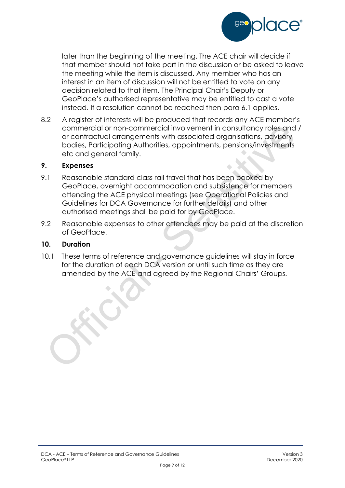

later than the beginning of the meeting. The ACE chair will decide if that member should not take part in the discussion or be asked to leave the meeting while the item is discussed. Any member who has an interest in an item of discussion will not be entitled to vote on any decision related to that item. The Principal Chair's Deputy or GeoPlace's authorised representative may be entitled to cast a vote instead. If a resolution cannot be reached then para 6.1 applies.

8.2 A register of interests will be produced that records any ACE member's commercial or non-commercial involvement in consultancy roles and / or contractual arrangements with associated organisations, advisory bodies, Participating Authorities, appointments, pensions/investments etc and general family.

#### **9. Expenses**

- 9.1 Reasonable standard class rail travel that has been booked by GeoPlace, overnight accommodation and subsistence for members attending the ACE physical meetings (see Operational Policies and Guidelines for DCA Governance for further details) and other authorised meetings shall be paid for by GeoPlace.
- 9.2 Reasonable expenses to other attendees may be paid at the discretion of GeoPlace.

#### **10. Duration**

10.1 These terms of reference and governance guidelines will stay in force for the duration of each DCA version or until such time as they are amended by the ACE and agreed by the Regional Chairs' Groups.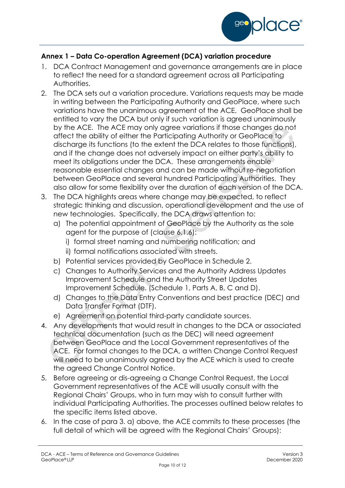

## **Annex 1 – Data Co-operation Agreement (DCA) variation procedure**

- 1. DCA Contract Management and governance arrangements are in place to reflect the need for a standard agreement across all Participating Authorities.
- 2. The DCA sets out a variation procedure. Variations requests may be made in writing between the Participating Authority and GeoPlace, where such variations have the unanimous agreement of the ACE. GeoPlace shall be entitled to vary the DCA but only if such variation is agreed unanimously by the ACE. The ACE may only agree variations if those changes do not affect the ability of either the Participating Authority or GeoPlace to discharge its functions (to the extent the DCA relates to those functions), and if the change does not adversely impact on either party's ability to meet its obligations under the DCA. These arrangements enable reasonable essential changes and can be made without re-negotiation between GeoPlace and several hundred Participating Authorities. They also allow for some flexibility over the duration of each version of the DCA.
- 3. The DCA highlights areas where change may be expected, to reflect strategic thinking and discussion, operational development and the use of new technologies. Specifically, the DCA draws attention to:
	- a) The potential appointment of GeoPlace by the Authority as the sole agent for the purpose of (clause 6.1.6):
		- i) formal street naming and numbering notification; and
		- ii) formal notifications associated with streets.
	- b) Potential services provided by GeoPlace in Schedule 2.
	- c) Changes to Authority Services and the Authority Address Updates Improvement Schedule and the Authority Street Updates Improvement Schedule. (Schedule 1, Parts A, B, C and D).
	- d) Changes to the Data Entry Conventions and best practice (DEC) and Data Transfer Format (DTF).
	- e) Agreement on potential third-party candidate sources.
- 4. Any developments that would result in changes to the DCA or associated technical documentation (such as the DEC) will need agreement between GeoPlace and the Local Government representatives of the ACE. For formal changes to the DCA, a written Change Control Request will need to be unanimously agreed by the ACE which is used to create the agreed Change Control Notice.
- 5. Before agreeing or dis-agreeing a Change Control Request, the Local Government representatives of the ACE will usually consult with the Regional Chairs' Groups, who in turn may wish to consult further with individual Participating Authorities. The processes outlined below relates to the specific items listed above.
- 6. In the case of para 3. a) above, the ACE commits to these processes (the full detail of which will be agreed with the Regional Chairs' Groups):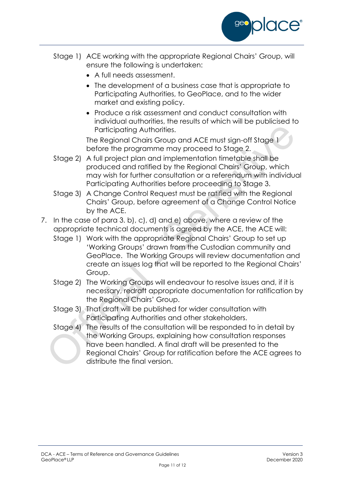

- Stage 1) ACE working with the appropriate Regional Chairs' Group, will ensure the following is undertaken:
	- A full needs assessment.
	- The development of a business case that is appropriate to Participating Authorities, to GeoPlace, and to the wider market and existing policy.
	- Produce a risk assessment and conduct consultation with individual authorities, the results of which will be publicised to Participating Authorities.

The Regional Chairs Group and ACE must sign-off Stage 1 before the programme may proceed to Stage 2.

- Stage 2) A full project plan and implementation timetable shall be produced and ratified by the Regional Chairs' Group, which may wish for further consultation or a referendum with individual Participating Authorities before proceeding to Stage 3.
- Stage 3) A Change Control Request must be ratified with the Regional Chairs' Group, before agreement of a Change Control Notice by the ACE.
- 7. In the case of para 3. b), c), d) and e) above, where a review of the appropriate technical documents is agreed by the ACE, the ACE will:
	- Stage 1) Work with the appropriate Regional Chairs' Group to set up 'Working Groups' drawn from the Custodian community and GeoPlace. The Working Groups will review documentation and create an issues log that will be reported to the Regional Chairs' Group.
	- Stage 2) The Working Groups will endeavour to resolve issues and, if it is necessary, redraft appropriate documentation for ratification by the Regional Chairs' Group.
	- Stage 3) That draft will be published for wider consultation with Participating Authorities and other stakeholders.
	- Stage 4) The results of the consultation will be responded to in detail by the Working Groups, explaining how consultation responses have been handled. A final draft will be presented to the Regional Chairs' Group for ratification before the ACE agrees to distribute the final version.